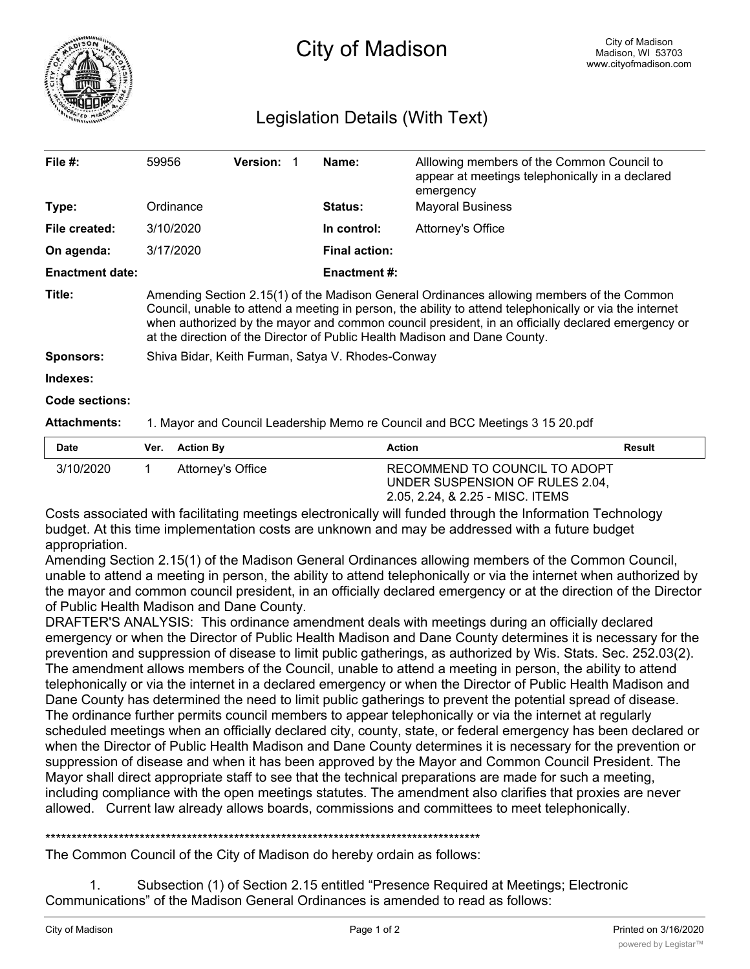

## Legislation Details (With Text)

| File $#$ :             | 59956                                                                                                                                                                                                                                                                                                                                                                                   | <b>Version:</b> |  | Name:                | Alllowing members of the Common Council to<br>appear at meetings telephonically in a declared<br>emergency |  |
|------------------------|-----------------------------------------------------------------------------------------------------------------------------------------------------------------------------------------------------------------------------------------------------------------------------------------------------------------------------------------------------------------------------------------|-----------------|--|----------------------|------------------------------------------------------------------------------------------------------------|--|
| Type:                  | Ordinance                                                                                                                                                                                                                                                                                                                                                                               |                 |  | <b>Status:</b>       | <b>Mayoral Business</b>                                                                                    |  |
| File created:          | 3/10/2020                                                                                                                                                                                                                                                                                                                                                                               |                 |  | In control:          | Attorney's Office                                                                                          |  |
| On agenda:             | 3/17/2020                                                                                                                                                                                                                                                                                                                                                                               |                 |  | <b>Final action:</b> |                                                                                                            |  |
| <b>Enactment date:</b> |                                                                                                                                                                                                                                                                                                                                                                                         |                 |  | <b>Enactment #:</b>  |                                                                                                            |  |
| Title:                 | Amending Section 2.15(1) of the Madison General Ordinances allowing members of the Common<br>Council, unable to attend a meeting in person, the ability to attend telephonically or via the internet<br>when authorized by the mayor and common council president, in an officially declared emergency or<br>at the direction of the Director of Public Health Madison and Dane County. |                 |  |                      |                                                                                                            |  |
| <b>Sponsors:</b>       | Shiva Bidar, Keith Furman, Satya V. Rhodes-Conway                                                                                                                                                                                                                                                                                                                                       |                 |  |                      |                                                                                                            |  |
| Indexes:               |                                                                                                                                                                                                                                                                                                                                                                                         |                 |  |                      |                                                                                                            |  |
| <b>Code sections:</b>  |                                                                                                                                                                                                                                                                                                                                                                                         |                 |  |                      |                                                                                                            |  |
| <b>Attachments:</b>    | 1. Mayor and Council Leadership Memo re Council and BCC Meetings 3 15 20.pdf                                                                                                                                                                                                                                                                                                            |                 |  |                      |                                                                                                            |  |

| <b>Date</b> | Ver. Action By    | <b>Action</b>                                                                                        | Result |
|-------------|-------------------|------------------------------------------------------------------------------------------------------|--------|
| 3/10/2020   | Attorney's Office | RECOMMEND TO COUNCIL TO ADOPT<br>UNDER SUSPENSION OF RULES 2.04,<br>2.05, 2.24, & 2.25 - MISC. ITEMS |        |

Costs associated with facilitating meetings electronically will funded through the Information Technology budget. At this time implementation costs are unknown and may be addressed with a future budget appropriation.

Amending Section 2.15(1) of the Madison General Ordinances allowing members of the Common Council, unable to attend a meeting in person, the ability to attend telephonically or via the internet when authorized by the mayor and common council president, in an officially declared emergency or at the direction of the Director of Public Health Madison and Dane County.

DRAFTER'S ANALYSIS: This ordinance amendment deals with meetings during an officially declared emergency or when the Director of Public Health Madison and Dane County determines it is necessary for the prevention and suppression of disease to limit public gatherings, as authorized by Wis. Stats. Sec. 252.03(2). The amendment allows members of the Council, unable to attend a meeting in person, the ability to attend telephonically or via the internet in a declared emergency or when the Director of Public Health Madison and Dane County has determined the need to limit public gatherings to prevent the potential spread of disease. The ordinance further permits council members to appear telephonically or via the internet at regularly scheduled meetings when an officially declared city, county, state, or federal emergency has been declared or when the Director of Public Health Madison and Dane County determines it is necessary for the prevention or suppression of disease and when it has been approved by the Mayor and Common Council President. The Mayor shall direct appropriate staff to see that the technical preparations are made for such a meeting, including compliance with the open meetings statutes. The amendment also clarifies that proxies are never allowed. Current law already allows boards, commissions and committees to meet telephonically.

\*\*\*\*\*\*\*\*\*\*\*\*\*\*\*\*\*\*\*\*\*\*\*\*\*\*\*\*\*\*\*\*\*\*\*\*\*\*\*\*\*\*\*\*\*\*\*\*\*\*\*\*\*\*\*\*\*\*\*\*\*\*\*\*\*\*\*\*\*\*\*\*\*\*\*\*\*\*\*\*\*\*\*

The Common Council of the City of Madison do hereby ordain as follows:

1. Subsection (1) of Section 2.15 entitled "Presence Required at Meetings; Electronic Communications" of the Madison General Ordinances is amended to read as follows: